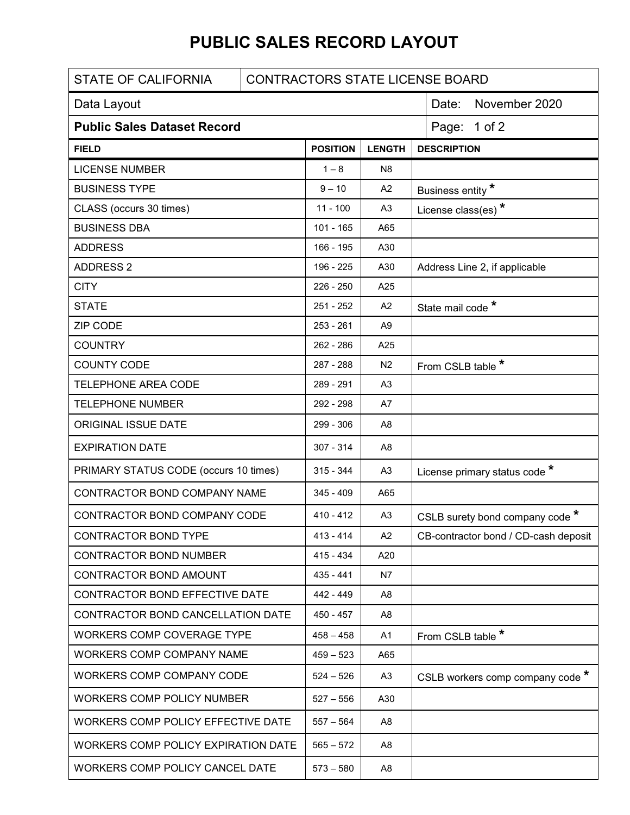## **PUBLIC SALES RECORD LAYOUT**

| <b>STATE OF CALIFORNIA</b>                              | <b>CONTRACTORS STATE LICENSE BOARD</b> |                 |                |                                      |  |
|---------------------------------------------------------|----------------------------------------|-----------------|----------------|--------------------------------------|--|
| Data Layout                                             |                                        |                 |                | November 2020<br>Date:               |  |
| <b>Public Sales Dataset Record</b><br>Page:<br>1 of $2$ |                                        |                 |                |                                      |  |
| <b>FIELD</b>                                            |                                        | <b>POSITION</b> | <b>LENGTH</b>  | <b>DESCRIPTION</b>                   |  |
| <b>LICENSE NUMBER</b>                                   |                                        | $1 - 8$         | N <sub>8</sub> |                                      |  |
| <b>BUSINESS TYPE</b>                                    |                                        | $9 - 10$        | A2             | Business entity *                    |  |
| CLASS (occurs 30 times)                                 |                                        | $11 - 100$      | A <sub>3</sub> | License class(es) *                  |  |
| <b>BUSINESS DBA</b>                                     |                                        | $101 - 165$     | A65            |                                      |  |
| <b>ADDRESS</b>                                          |                                        | 166 - 195       | A30            |                                      |  |
| <b>ADDRESS 2</b>                                        |                                        | 196 - 225       | A30            | Address Line 2, if applicable        |  |
| <b>CITY</b>                                             |                                        | $226 - 250$     | A25            |                                      |  |
| <b>STATE</b>                                            |                                        | 251 - 252       | A2             | State mail code *                    |  |
| ZIP CODE                                                |                                        | $253 - 261$     | A <sub>9</sub> |                                      |  |
| <b>COUNTRY</b>                                          |                                        | 262 - 286       | A25            |                                      |  |
| <b>COUNTY CODE</b>                                      |                                        | 287 - 288       | N <sub>2</sub> | From CSLB table *                    |  |
| <b>TELEPHONE AREA CODE</b>                              |                                        | 289 - 291       | A <sub>3</sub> |                                      |  |
| <b>TELEPHONE NUMBER</b>                                 |                                        | 292 - 298       | A7             |                                      |  |
| ORIGINAL ISSUE DATE                                     |                                        | 299 - 306       | A <sub>8</sub> |                                      |  |
| <b>EXPIRATION DATE</b>                                  |                                        | $307 - 314$     | A <sub>8</sub> |                                      |  |
| PRIMARY STATUS CODE (occurs 10 times)                   |                                        | $315 - 344$     | A <sub>3</sub> | License primary status code *        |  |
| CONTRACTOR BOND COMPANY NAME                            |                                        | $345 - 409$     | A65            |                                      |  |
| CONTRACTOR BOND COMPANY CODE                            |                                        | 410 - 412       | A <sub>3</sub> | CSLB surety bond company code *      |  |
| <b>CONTRACTOR BOND TYPE</b>                             |                                        | $413 - 414$     | A2             | CB-contractor bond / CD-cash deposit |  |
| CONTRACTOR BOND NUMBER                                  |                                        | 415 - 434       | A20            |                                      |  |
| CONTRACTOR BOND AMOUNT                                  |                                        | 435 - 441       | N7             |                                      |  |
| CONTRACTOR BOND EFFECTIVE DATE                          |                                        | 442 - 449       | A8             |                                      |  |
| CONTRACTOR BOND CANCELLATION DATE                       |                                        | 450 - 457       | A <sub>8</sub> |                                      |  |
| <b>WORKERS COMP COVERAGE TYPE</b>                       |                                        | $458 - 458$     | A <sub>1</sub> | From CSLB table *                    |  |
| <b>WORKERS COMP COMPANY NAME</b>                        |                                        | $459 - 523$     | A65            |                                      |  |
| <b>WORKERS COMP COMPANY CODE</b>                        |                                        | $524 - 526$     | A <sub>3</sub> | CSLB workers comp company code *     |  |
| <b>WORKERS COMP POLICY NUMBER</b>                       |                                        | $527 - 556$     | A30            |                                      |  |
| WORKERS COMP POLICY EFFECTIVE DATE                      |                                        | $557 - 564$     | A8             |                                      |  |
| WORKERS COMP POLICY EXPIRATION DATE                     |                                        | $565 - 572$     | A8             |                                      |  |
| WORKERS COMP POLICY CANCEL DATE                         |                                        | $573 - 580$     | A8             |                                      |  |